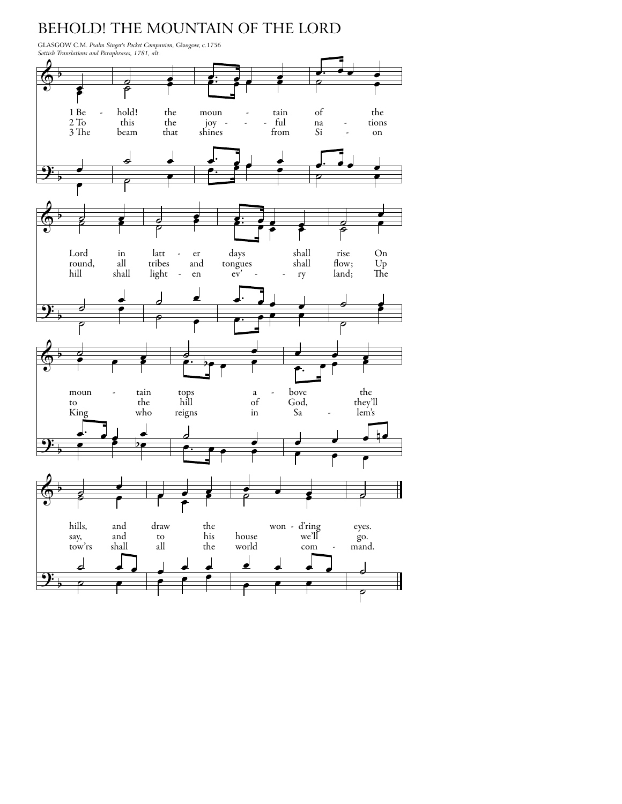## BEHOLD! THE MOUNTAIN OF THE LORD

GLASGOW C.M. *Psalm Singer's Pocket Companion,* Glasgow, c.1756 *Sottish Translations and Paraphrases, 1781, alt.*